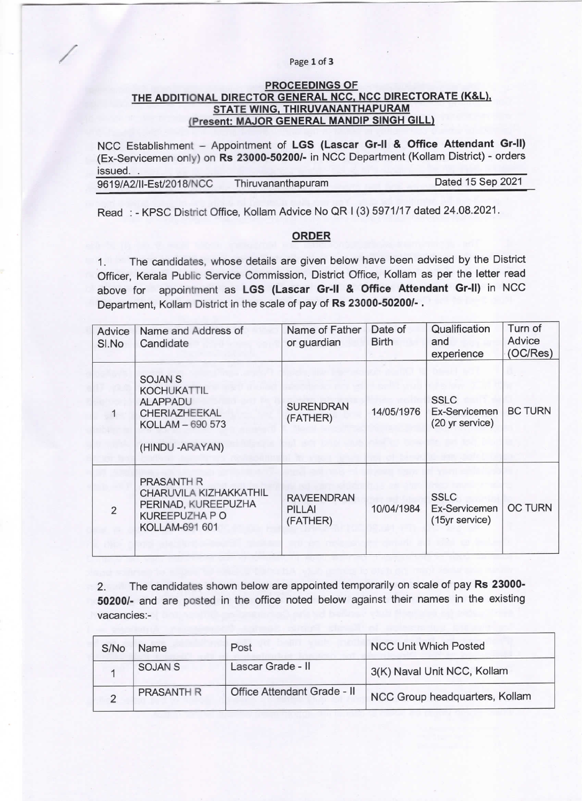# / Page 1 Of 3

# FROCEEDINGS OF THE ADDITIONAL DIRECTOR GENERAL NCC, NCC DIRECTORATE (K&L),<br>STATE WING, THIRUVANANTHAPURAM (Present: MAJOR GENERAL MANDIP SINGH GILL)

NCC Establishment - Appointment of LGS (Lascar Gr-II & Office Attendant Gr-II) (Ex-Servicemen only) on Rs 23000-50200/- in NCC Department (Kollam District) - orders issued..

| 9619/A2/II-Est/2018/NCC | Thiruvananthapuram | Dated 15 Sep 2021 |
|-------------------------|--------------------|-------------------|
|                         |                    |                   |

Read : -KPSC District Office, Kollam Advice No QR I (3) 5971/17 dated 24.08.2021.

# ORDER

1. The candidates, whose details are given below have been advised by the District Officer, Kerala Public Service Commission, District Office, Kollam as per the letter read above for appointment as LGS (Lascar Gr-II & Office Attendant Gr-II) in NCC Department, Kollam District in the scale of pay of Rs 23000-50200/- .

| Advice<br>SI.No | Name and Address of<br>Candidate                                                                               | Name of Father<br>or guardian           | Date of<br><b>Birth</b> | Qualification<br>and<br>experience              | Turn of<br>Advice<br>(OC/Res) |
|-----------------|----------------------------------------------------------------------------------------------------------------|-----------------------------------------|-------------------------|-------------------------------------------------|-------------------------------|
| 1               | <b>SOJAN S</b><br><b>KOCHUKATTIL</b><br><b>ALAPPADU</b><br>CHERIAZHEEKAL<br>KOLLAM - 690 573<br>(HINDU-ARAYAN) | <b>SURENDRAN</b><br>(FATHER)            | 14/05/1976              | <b>SSLC</b><br>Ex-Servicemen<br>(20 yr service) | <b>BC TURN</b>                |
| $\overline{2}$  | <b>PRASANTH R</b><br><b>CHARUVILA KIZHAKKATHIL</b><br>PERINAD, KUREEPUZHA<br>KUREEPUZHA P O<br>KOLLAM-691 601  | <b>RAVEENDRAN</b><br>PILLAI<br>(FATHER) | 10/04/1984              | <b>SSLC</b><br>Ex-Servicemen<br>(15yr service)  | <b>OC TURN</b>                |

2. The candidates shown below are appointed temporarily on scale of pay Rs 23000-50200/- and are posted in the office noted below against their names in the existing vacancies:-

| S/No | Name           | Post                        | <b>NCC Unit Which Posted</b>   |
|------|----------------|-----------------------------|--------------------------------|
|      | <b>SOJAN S</b> | Lascar Grade - II           | 3(K) Naval Unit NCC, Kollam    |
|      | PRASANTH R     | Office Attendant Grade - II | NCC Group headquarters, Kollam |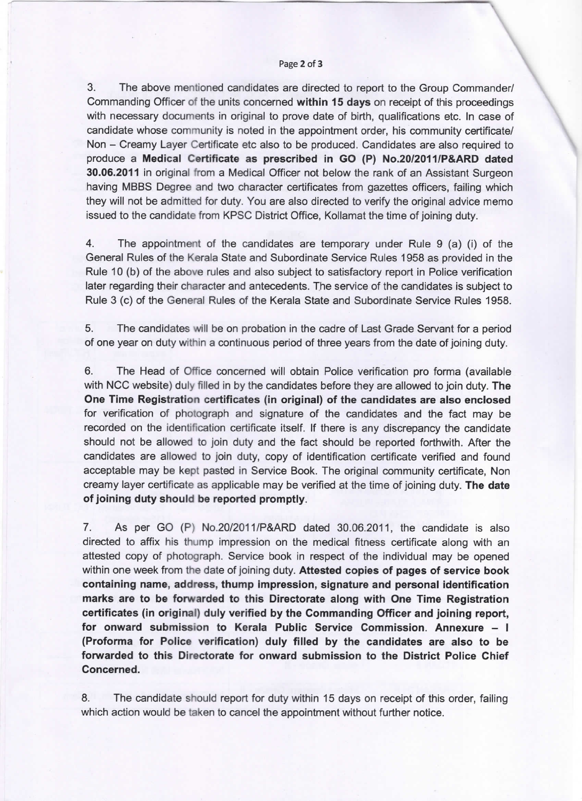#### Page 2 of 3

3. The above mentioned candidates are directed to report to the Group commander/ Commanding Officer of the units concerned within 15 days on receipt of this proceedings with necessary documents in original to prove date of birth, qualifications etc. In case of candidate whose community is noted in the appointment order, his community certificate/ Non – Creamy Layer Certificate etc also to be produced. Candidates are also required to produce a Medical Certificate as prescribed in GO (P) No.20/2011/P&ARD dated 30.06.2011 in original from a Medical Officer not below the rank of an Assistant Surgeon having MBBS Degree and two character certificates from gazettes officers, failing which they will not be admitted for duty. You are also directed to verify the original advice memo issued to the candidate from KPSC District Office, Kollamat the time of joining duty.

4. The appointment of the candidates are temporary under Rule 9 (a) (i) of the General Rules of the Kerala State and Subordinate Service Rules 1958 as provided in the Rule 10 (b) of the above rules and also subject to satisfactory report in Police verification later regarding their character and antecedents. The service of the candidates is subject to Rule 3 (c) of the General Rules of the Kerala State and Subordinate Service Rules 1958.

5. The candidates will be on probation in the cadre of Last Grade servant for a period of one year on duty within a continuous period of three years from the date of joining duty.

6, The Head of office concerned will obtain police verification pro forma (available with NCC website) duly filled in by the candidates before they are allowed to join duty. The One Time Registration certificates (in original) of the candidates are also enclosed for verification of photograph and signature of the candidates and the fact may be recorded on the identification certificate itself. If there is any discrepancy the candidate should not be allowed to join duty and the fact should be reported forthwith. After the candidates are allowed to join duty, copy of identification certificate verified and found acceptable may be kept pasted in Service Book. The original community certificate, Non creamy layer certificate as applicable may be verified at the time of joining duty. The date of joining duty should be reported promptly.

7. As per GO (P) No.20/2011/P&ARD dated 30.06.2011, the candidate is also directed to affix his thump impression on the medical fitness certificate along with an attested copy of photograph. Service book in respect of the individual may be opened within one week from the date of joining duty. Attested copies of pages of service book containing name, address, thump impression, signature and personal identification marks are to be forwarded to this Directorate along with One Time Registration certificates (in original) duly verified by the Commanding Officer and joining report, for onward submission to Kerala Public Service Commission. Annexure - I (Proforma for Police verification) duly filled by the candidates are also to be forwarded to this Directorate for onward submission to the District Police Chief Concerned.

8. The candidate should report for duty within 15 days on receipt of this order, failing which action would be taken to cancel the appointment without further notice.